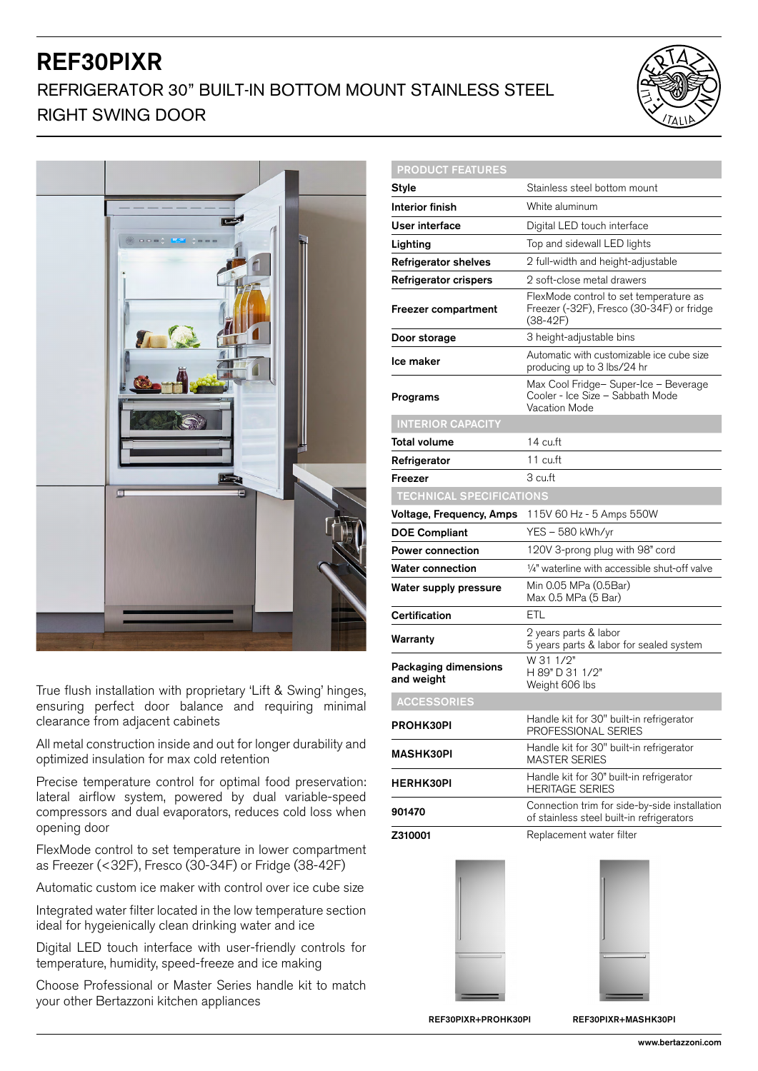## REF30PIXR REFRIGERATOR 30" BUILT-IN BOTTOM MOUNT STAINLESS STEEL RIGHT SWING DOOR





True flush installation with proprietary 'Lift & Swing' hinges, ensuring perfect door balance and requiring minimal clearance from adjacent cabinets

All metal construction inside and out for longer durability and optimized insulation for max cold retention

Precise temperature control for optimal food preservation: lateral airflow system, powered by dual variable-speed compressors and dual evaporators, reduces cold loss when opening door

FlexMode control to set temperature in lower compartment as Freezer (<32F), Fresco (30-34F) or Fridge (38-42F)

Automatic custom ice maker with control over ice cube size

Integrated water filter located in the low temperature section ideal for hygeienically clean drinking water and ice

Digital LED touch interface with user-friendly controls for temperature, humidity, speed-freeze and ice making

Choose Professional or Master Series handle kit to match your other Bertazzoni kitchen appliances

| <b>PRODUCT FEATURES</b>            |                                                                                                 |
|------------------------------------|-------------------------------------------------------------------------------------------------|
| Style                              | Stainless steel bottom mount                                                                    |
| Interior finish                    | White aluminum                                                                                  |
| User interface                     | Digital LED touch interface                                                                     |
| Lighting                           | Top and sidewall LED lights                                                                     |
| <b>Refrigerator shelves</b>        | 2 full-width and height-adjustable                                                              |
| Refrigerator crispers              | 2 soft-close metal drawers                                                                      |
| Freezer compartment                | FlexMode control to set temperature as<br>Freezer (-32F), Fresco (30-34F) or fridge<br>(38-42F) |
| Door storage                       | 3 height-adjustable bins                                                                        |
| Ice maker                          | Automatic with customizable ice cube size<br>producing up to 3 lbs/24 hr                        |
| Programs                           | Max Cool Fridge- Super-Ice - Beverage<br>Cooler - Ice Size - Sabbath Mode<br>Vacation Mode      |
| <b>INTERIOR CAPACITY</b>           |                                                                                                 |
| Total volume                       | 14 cu.ft                                                                                        |
| Refrigerator                       | 11 cu.ft                                                                                        |
| Freezer                            | 3 cu.ft                                                                                         |
| <b>TECHNICAL SPECIFICATIONS</b>    |                                                                                                 |
| <b>Voltage, Frequency, Amps</b>    | 115V 60 Hz - 5 Amps 550W                                                                        |
| <b>DOE Compliant</b>               | YES - 580 kWh/yr                                                                                |
| <b>Power connection</b>            | 120V 3-prong plug with 98" cord                                                                 |
| <b>Water connection</b>            | 1/4" waterline with accessible shut-off valve                                                   |
| Water supply pressure              | Min 0.05 MPa (0.5Bar)<br>Max 0.5 MPa (5 Bar)                                                    |
| Certification                      | ETL                                                                                             |
| Warranty                           | 2 years parts & labor<br>5 years parts & labor for sealed system                                |
| Packaging dimensions<br>and weight | W 31 1/2"<br>H 89" D 31 1/2"<br>Weight 606 lbs                                                  |
| <b>ACCESSORIES</b>                 |                                                                                                 |
| PROHK30PI                          | Handle kit for 30" built-in refrigerator<br>PROFESSIONAL SERIES                                 |
| <b>MASHK30PI</b>                   | Handle kit for 30" built-in refrigerator<br><b>MASTER SERIES</b>                                |
| <b>HERHK30PI</b>                   | Handle kit for 30" built-in refrigerator<br><b>HERITAGE SERIES</b>                              |
|                                    |                                                                                                 |
| 901470                             | Connection trim for side-by-side installation<br>of stainless steel built-in refrigerators      |



REF30PIXR+PROHK30PI REF30PIXR+MASHK30PI